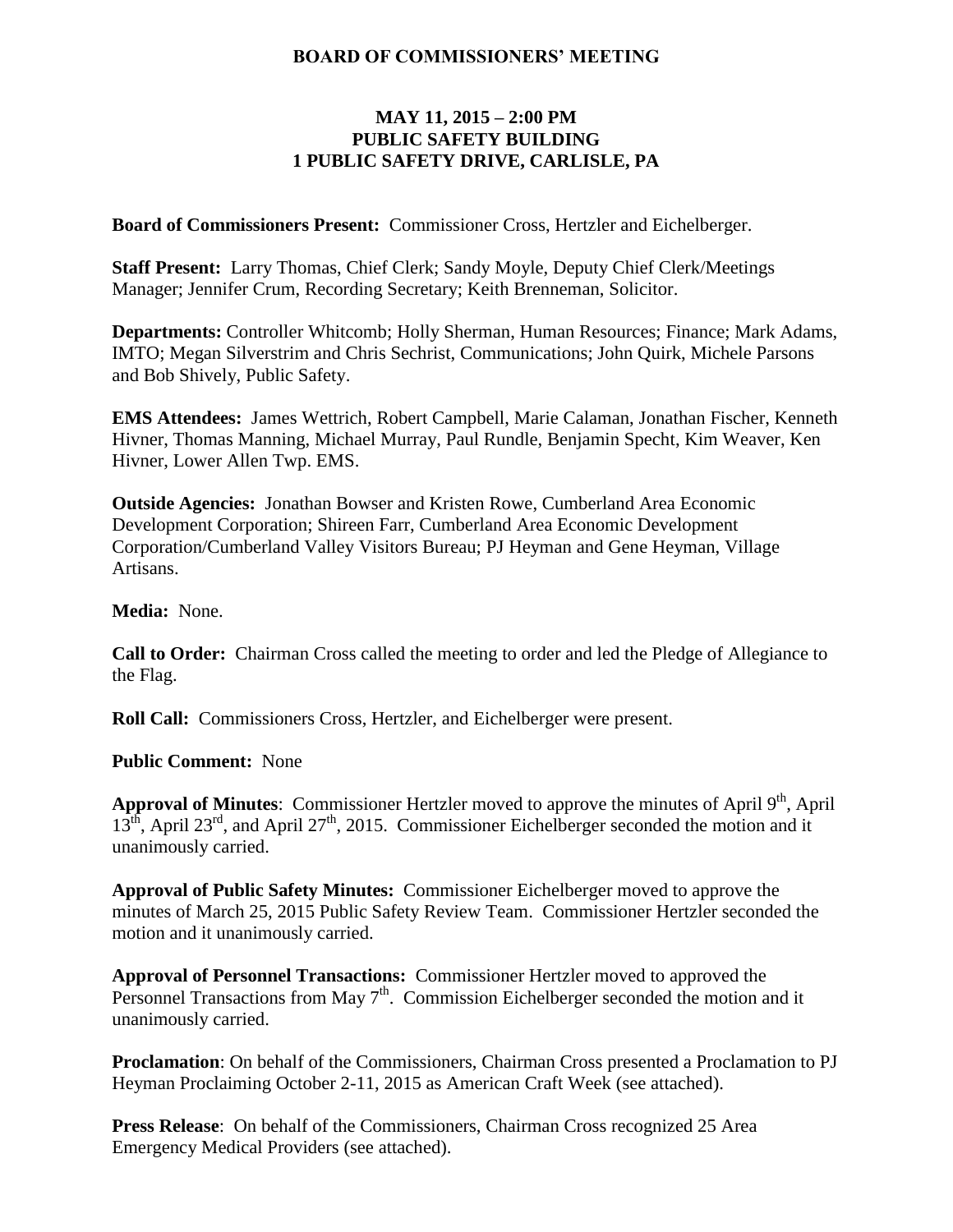### **BOARD OF COMMISSIONERS' MEETING**

## **MAY 11, 2015 – 2:00 PM PUBLIC SAFETY BUILDING 1 PUBLIC SAFETY DRIVE, CARLISLE, PA**

**Board of Commissioners Present:** Commissioner Cross, Hertzler and Eichelberger.

**Staff Present:** Larry Thomas, Chief Clerk; Sandy Moyle, Deputy Chief Clerk/Meetings Manager; Jennifer Crum, Recording Secretary; Keith Brenneman, Solicitor.

**Departments:** Controller Whitcomb; Holly Sherman, Human Resources; Finance; Mark Adams, IMTO; Megan Silverstrim and Chris Sechrist, Communications; John Quirk, Michele Parsons and Bob Shively, Public Safety.

**EMS Attendees:** James Wettrich, Robert Campbell, Marie Calaman, Jonathan Fischer, Kenneth Hivner, Thomas Manning, Michael Murray, Paul Rundle, Benjamin Specht, Kim Weaver, Ken Hivner, Lower Allen Twp. EMS.

**Outside Agencies:** Jonathan Bowser and Kristen Rowe, Cumberland Area Economic Development Corporation; Shireen Farr, Cumberland Area Economic Development Corporation/Cumberland Valley Visitors Bureau; PJ Heyman and Gene Heyman, Village Artisans.

#### **Media:** None.

**Call to Order:** Chairman Cross called the meeting to order and led the Pledge of Allegiance to the Flag.

**Roll Call:** Commissioners Cross, Hertzler, and Eichelberger were present.

**Public Comment:** None

Approval of Minutes: Commissioner Hertzler moved to approve the minutes of April 9<sup>th</sup>, April  $13<sup>th</sup>$ , April 23<sup>rd</sup>, and April 27<sup>th</sup>, 2015. Commissioner Eichelberger seconded the motion and it unanimously carried.

**Approval of Public Safety Minutes:** Commissioner Eichelberger moved to approve the minutes of March 25, 2015 Public Safety Review Team. Commissioner Hertzler seconded the motion and it unanimously carried.

**Approval of Personnel Transactions:** Commissioner Hertzler moved to approved the Personnel Transactions from May  $7<sup>th</sup>$ . Commission Eichelberger seconded the motion and it unanimously carried.

**Proclamation**: On behalf of the Commissioners, Chairman Cross presented a Proclamation to PJ Heyman Proclaiming October 2-11, 2015 as American Craft Week (see attached).

**Press Release**: On behalf of the Commissioners, Chairman Cross recognized 25 Area Emergency Medical Providers (see attached).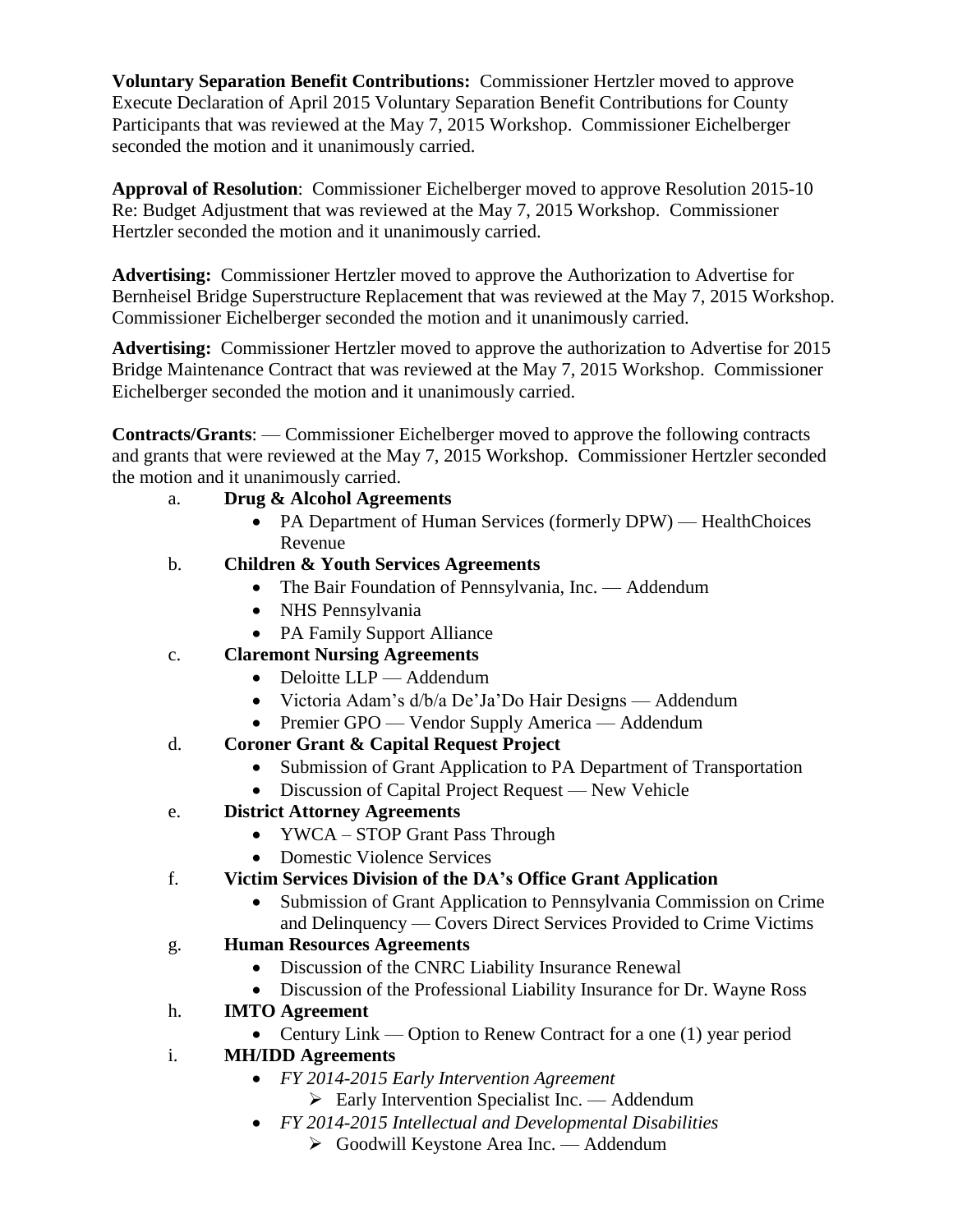**Voluntary Separation Benefit Contributions:** Commissioner Hertzler moved to approve Execute Declaration of April 2015 Voluntary Separation Benefit Contributions for County Participants that was reviewed at the May 7, 2015 Workshop. Commissioner Eichelberger seconded the motion and it unanimously carried.

**Approval of Resolution**: Commissioner Eichelberger moved to approve Resolution 2015-10 Re: Budget Adjustment that was reviewed at the May 7, 2015 Workshop. Commissioner Hertzler seconded the motion and it unanimously carried.

**Advertising:** Commissioner Hertzler moved to approve the Authorization to Advertise for Bernheisel Bridge Superstructure Replacement that was reviewed at the May 7, 2015 Workshop. Commissioner Eichelberger seconded the motion and it unanimously carried.

**Advertising:** Commissioner Hertzler moved to approve the authorization to Advertise for 2015 Bridge Maintenance Contract that was reviewed at the May 7, 2015 Workshop. Commissioner Eichelberger seconded the motion and it unanimously carried.

**Contracts/Grants**: — Commissioner Eichelberger moved to approve the following contracts and grants that were reviewed at the May 7, 2015 Workshop. Commissioner Hertzler seconded the motion and it unanimously carried.

## a. **Drug & Alcohol Agreements**

- PA Department of Human Services (formerly DPW) HealthChoices Revenue
- b. **Children & Youth Services Agreements** 
	- The Bair Foundation of Pennsylvania, Inc. Addendum
	- NHS Pennsylvania
	- PA Family Support Alliance
- c. **Claremont Nursing Agreements**
	- Deloitte LLP Addendum
	- Victoria Adam's d/b/a De'Ja'Do Hair Designs Addendum
	- Premier GPO Vendor Supply America Addendum
- d. **Coroner Grant & Capital Request Project**
	- Submission of Grant Application to PA Department of Transportation
	- Discussion of Capital Project Request New Vehicle
- e. **District Attorney Agreements**
	- YWCA STOP Grant Pass Through
	- Domestic Violence Services
- f. **Victim Services Division of the DA's Office Grant Application** 
	- Submission of Grant Application to Pennsylvania Commission on Crime and Delinquency — Covers Direct Services Provided to Crime Victims
- g. **Human Resources Agreements**
	- Discussion of the CNRC Liability Insurance Renewal
	- Discussion of the Professional Liability Insurance for Dr. Wayne Ross
- h. **IMTO Agreement**
	- Century Link Option to Renew Contract for a one (1) year period
- i. **MH/IDD Agreements**
	- *FY 2014-2015 Early Intervention Agreement*
		- $\triangleright$  Early Intervention Specialist Inc. Addendum
	- *FY 2014-2015 Intellectual and Developmental Disabilities*
		- Goodwill Keystone Area Inc. Addendum